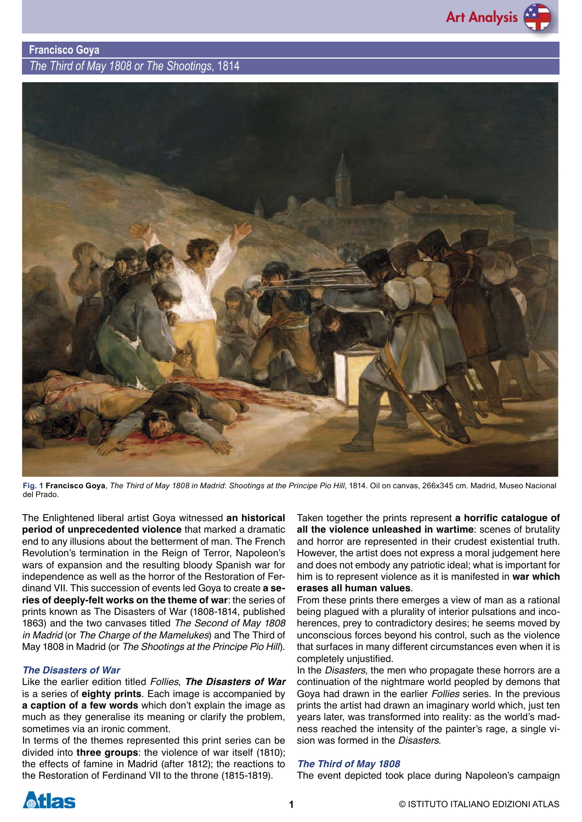

**Francisco Goya** *The Third of May 1808 or The Shootings*, 1814



**Fig. 1 Francisco Goya**, *The Third of May 1808 in Madrid*: *Shootings at the Principe Pio Hill*, 1814. Oil on canvas, 266x345 cm. Madrid, Museo Nacional del Prado.

The Enlightened liberal artist Goya witnessed **an historical period of unprecedented violence** that marked a dramatic end to any illusions about the betterment of man. The French Revolution's termination in the Reign of Terror, Napoleon's wars of expansion and the resulting bloody Spanish war for independence as well as the horror of the Restoration of Ferdinand VII. This succession of events led Goya to create **a series of deeply-felt works on the theme of war**: the series of prints known as The Disasters of War (1808-1814, published 1863) and the two canvases titled *The Second of May 1808 in Madrid* (or *The Charge of the Mamelukes*) and The Third of May 1808 in Madrid (or *The Shootings at the Principe Pio Hill*).

## *The Disasters of War*

Like the earlier edition titled *Follies*, *The Disasters of War* is a series of **eighty prints**. Each image is accompanied by **a caption of a few words** which don't explain the image as much as they generalise its meaning or clarify the problem, sometimes via an ironic comment.

In terms of the themes represented this print series can be divided into **three groups**: the violence of war itself (1810); the effects of famine in Madrid (after 1812); the reactions to the Restoration of Ferdinand VII to the throne (1815-1819).

Taken together the prints represent **a horrific catalogue of all the violence unleashed in wartime**: scenes of brutality and horror are represented in their crudest existential truth. However, the artist does not express a moral judgement here and does not embody any patriotic ideal; what is important for him is to represent violence as it is manifested in **war which erases all human values**.

From these prints there emerges a view of man as a rational being plagued with a plurality of interior pulsations and incoherences, prey to contradictory desires; he seems moved by unconscious forces beyond his control, such as the violence that surfaces in many different circumstances even when it is completely unjustified.

In the *Disasters*, the men who propagate these horrors are a continuation of the nightmare world peopled by demons that Goya had drawn in the earlier *Follies* series. In the previous prints the artist had drawn an imaginary world which, just ten years later, was transformed into reality: as the world's madness reached the intensity of the painter's rage, a single vision was formed in the *Disasters*.

## *The Third of May 1808*

The event depicted took place during Napoleon's campaign